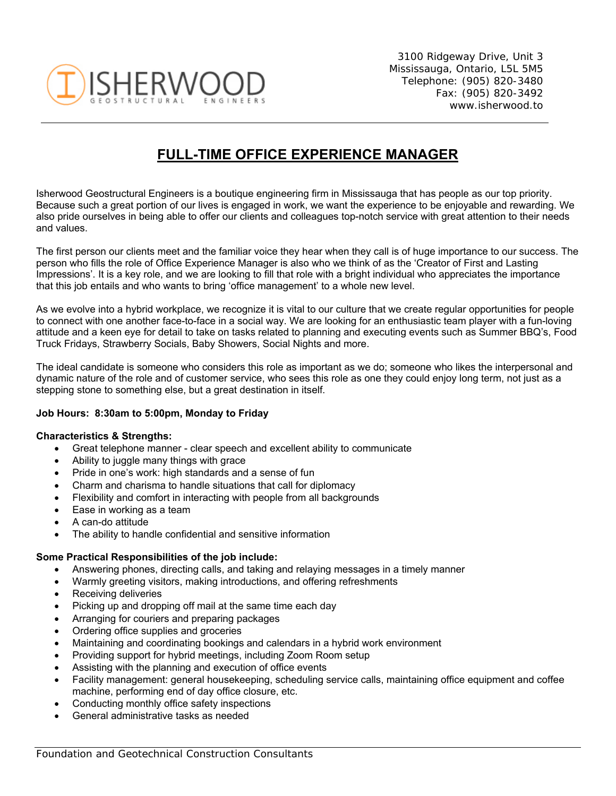

3100 Ridgeway Drive, Unit 3 Mississauga, Ontario, L5L 5M5 Telephone: (905) 820-3480 Fax: (905) 820-3492 www.isherwood.to

# **FULL-TIME OFFICE EXPERIENCE MANAGER**

Isherwood Geostructural Engineers is a boutique engineering firm in Mississauga that has people as our top priority. Because such a great portion of our lives is engaged in work, we want the experience to be enjoyable and rewarding. We also pride ourselves in being able to offer our clients and colleagues top-notch service with great attention to their needs and values.

The first person our clients meet and the familiar voice they hear when they call is of huge importance to our success. The person who fills the role of Office Experience Manager is also who we think of as the 'Creator of First and Lasting Impressions'. It is a key role, and we are looking to fill that role with a bright individual who appreciates the importance that this job entails and who wants to bring 'office management' to a whole new level.

As we evolve into a hybrid workplace, we recognize it is vital to our culture that we create regular opportunities for people to connect with one another face-to-face in a social way. We are looking for an enthusiastic team player with a fun-loving attitude and a keen eye for detail to take on tasks related to planning and executing events such as Summer BBQ's, Food Truck Fridays, Strawberry Socials, Baby Showers, Social Nights and more.

The ideal candidate is someone who considers this role as important as we do; someone who likes the interpersonal and dynamic nature of the role and of customer service, who sees this role as one they could enjoy long term, not just as a stepping stone to something else, but a great destination in itself.

#### **Job Hours: 8:30am to 5:00pm, Monday to Friday**

#### **Characteristics & Strengths:**

- Great telephone manner clear speech and excellent ability to communicate
- Ability to juggle many things with grace
- Pride in one's work: high standards and a sense of fun
- Charm and charisma to handle situations that call for diplomacy
- Flexibility and comfort in interacting with people from all backgrounds
- Ease in working as a team
- A can-do attitude
- The ability to handle confidential and sensitive information

#### **Some Practical Responsibilities of the job include:**

- Answering phones, directing calls, and taking and relaying messages in a timely manner
- Warmly greeting visitors, making introductions, and offering refreshments
- Receiving deliveries
- Picking up and dropping off mail at the same time each day
- Arranging for couriers and preparing packages
- Ordering office supplies and groceries
- Maintaining and coordinating bookings and calendars in a hybrid work environment
- Providing support for hybrid meetings, including Zoom Room setup
- Assisting with the planning and execution of office events
- Facility management: general housekeeping, scheduling service calls, maintaining office equipment and coffee machine, performing end of day office closure, etc.
- Conducting monthly office safety inspections
- General administrative tasks as needed